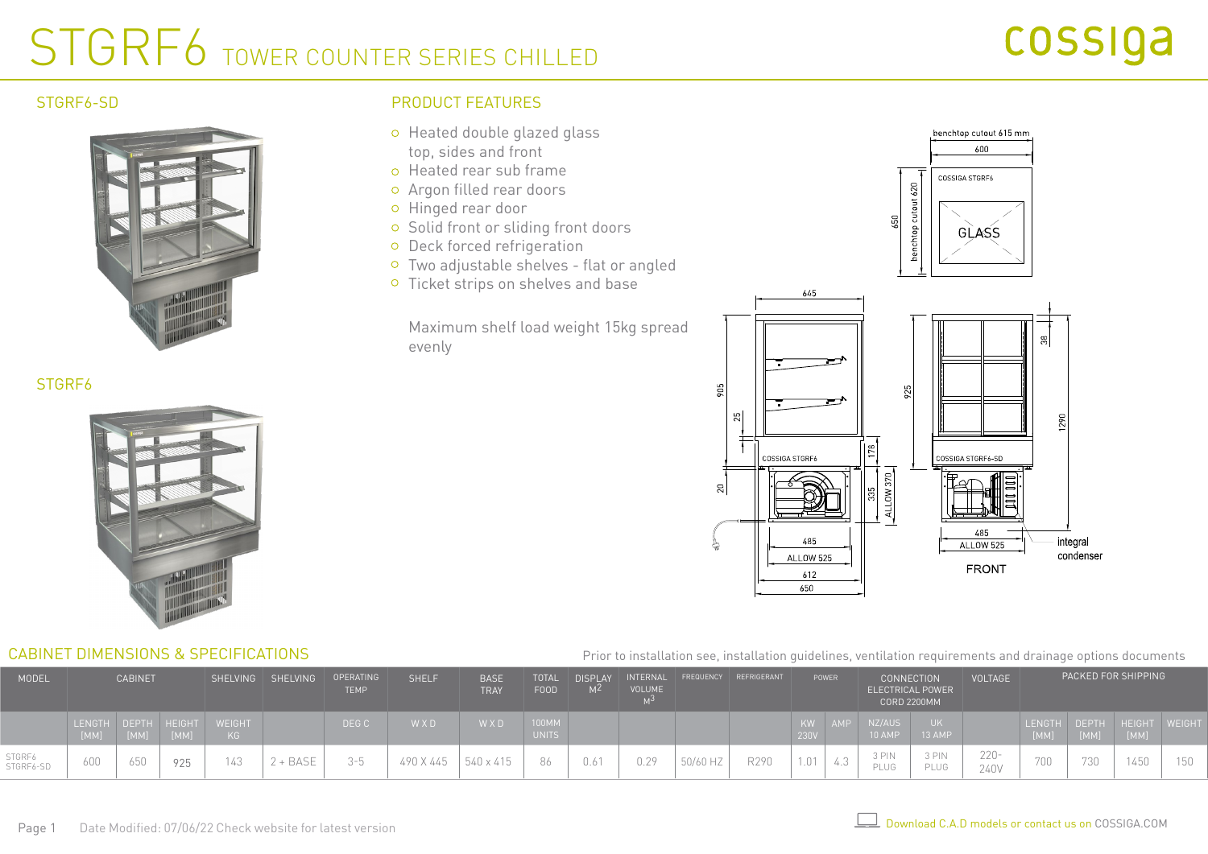# STGRF6 TOWER COUNTER SERIES CHILLED

### STGRF6-SD



## PRODUCT FEATURES

- o Heated double glazed glass top, sides and front
- o Heated rear sub frame
- Argon filled rear doors
- o Hinged rear door
- o Solid front or sliding front doors
- o Deck forced refrigeration
- Two adjustable shelves flat or angled
- <sup>o</sup> Ticket strips on shelves and base

Maximum shelf load weight 15kg spread evenly

905

 $20$ 



### STGRF6



### CABINET DIMENSIONS & SPECIFICATIONS

#### Prior to installation see, installation guidelines, ventilation requirements and drainage options documents

 $650$ 

| MODEL               | <b>CABINET</b>              |      |      | SHELVING SHELVING   | OPERATING<br><b>TEMP</b> | <b>SHELF</b>   | <b>BASE</b><br><b>TRAY</b> | <b>TOTAL</b><br><b>FOOD</b> | <b>DISPLAY</b><br>M <sub>2</sub> | <b>VOLUME</b> |      | INTERNAL FREQUENCY REFRIGERANT | POWER |            | <b>CONNECTION</b><br>ELECTRICAL POWER<br><b>CORD 2200MM</b> |                  | <b>VOLTAGE</b> | PACKED FOR SHIPPING |     |      |                                    |     |
|---------------------|-----------------------------|------|------|---------------------|--------------------------|----------------|----------------------------|-----------------------------|----------------------------------|---------------|------|--------------------------------|-------|------------|-------------------------------------------------------------|------------------|----------------|---------------------|-----|------|------------------------------------|-----|
|                     | LENGTH DEPTH HEIGHT<br>[MM] | [MM] | [MM] | <b>WEIGHT</b><br>KG |                          | DEG C          | WXD                        | WXD                         | 100MM<br><b>UNITS</b>            |               |      |                                |       | KW<br>230V | AMP                                                         | NZ/AUS<br>10 AMP | 13 AMP         |                     |     | [MM] | LENGTH DEPTH HEIGHT WEIGHT<br>[MM] |     |
| STGRF6<br>STGRF6-SD | 600                         | 650  | 925  | 143                 | + BASE                   | $3 - 5$<br>- 7 | 490 X 445                  | 540 x 415                   | 86.                              | 0.61          | 0.29 | 50/60 HZ                       | R290  | 1.01       | $\sqrt{2}$<br>4.3                                           | 3 PIN<br>PLUG    | 3 PIN<br>PLUG  | $220 -$<br>240V     | 700 | 730  | 450                                | 150 |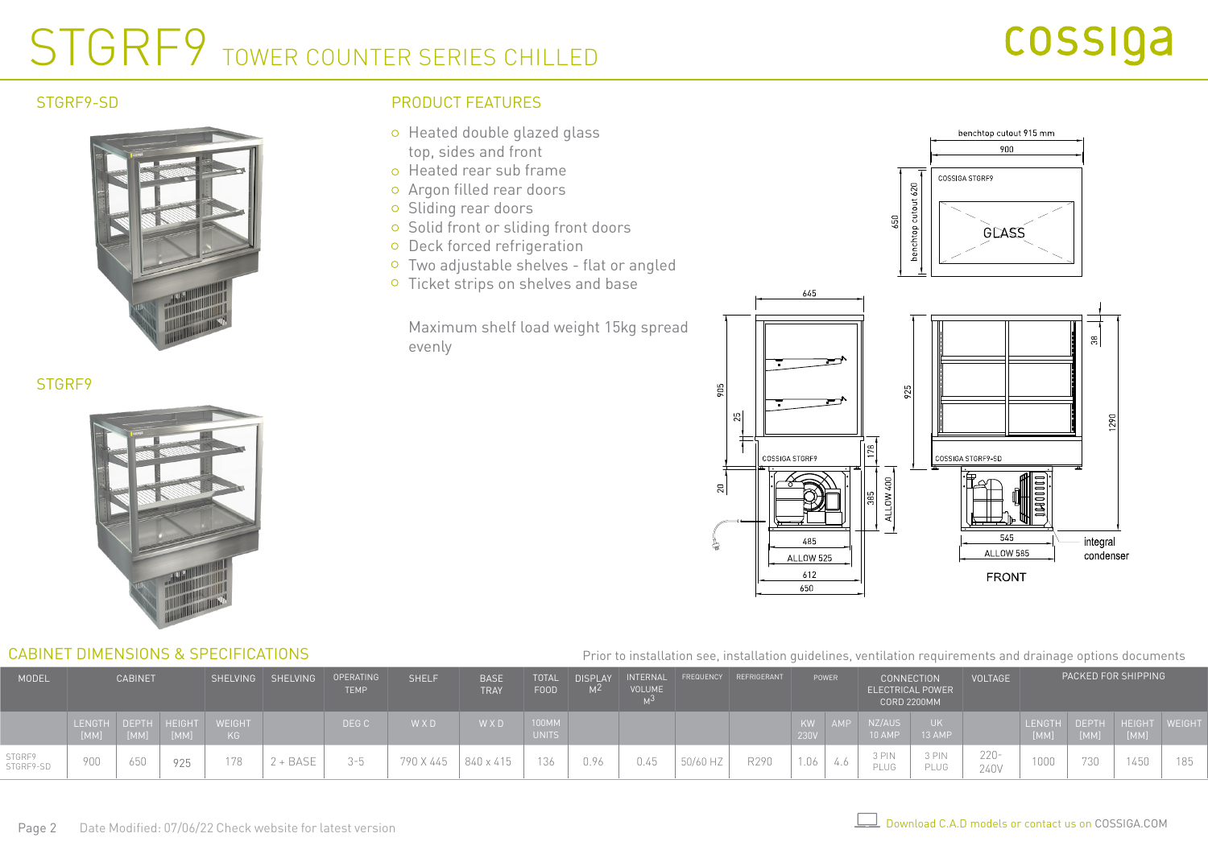# STGRF9 TOWER COUNTER SERIES CHILLED

### STGRF9-SD



## PRODUCT FEATURES

- o Heated double glazed glass top, sides and front
- o Heated rear sub frame
- Argon filled rear doors
- o Sliding rear doors
- o Solid front or sliding front doors
- o Deck forced refrigeration
- Two adjustable shelves flat or angled
- <sup>o</sup> Ticket strips on shelves and base

Maximum shelf load weight 15kg spread evenly





### STGRF9



### CABINET DIMENSIONS & SPECIFICATIONS

#### Prior to installation see, installation guidelines, ventilation requirements and drainage options documents

| <b>MODEL</b>        | <b>CABINET</b>      |      |      |              | SHELVING<br><b>SHELVING</b> | OPERATING<br><b>TEMP</b> | <b>SHELF</b> | <b>BASE</b><br><b>TRAY</b> | <b>TOTAL</b><br><b>FOOD</b> | <b>DISPLAY</b><br>MZ. | INTERNAL<br><b>VOLUME</b> |          | FREQUENCY REFRIGERANT | POWER             |            | <b>CONNECTION</b><br>ELECTRICAL POWER<br><b>CORD 2200MM</b> |               | <b>VOLTAGE</b>  | PACKED FOR SHIPPING |      |                                   |     |
|---------------------|---------------------|------|------|--------------|-----------------------------|--------------------------|--------------|----------------------------|-----------------------------|-----------------------|---------------------------|----------|-----------------------|-------------------|------------|-------------------------------------------------------------|---------------|-----------------|---------------------|------|-----------------------------------|-----|
|                     | LENGTH DEPTH HEIGHT | [MM] | [MM] | WEIGHT<br>KG |                             | DEG C                    | WXD          | WXD                        | 100MM<br><b>UNITS</b>       |                       |                           |          |                       | <b>KW</b><br>230V | <b>AMP</b> | NZ/AUS<br>10 AMP                                            | 13 AMP        |                 | [MM]                | [MM] | LENGTH DEPTH HEIGHT WEIGH<br>[MM] |     |
| STGRF9<br>STGRF9-SD | 900                 | 650  | 925  | 178          | + BASE                      | $3 - 5$                  | 790 X 445    | 840 x 415                  | 136                         |                       | 0.45                      | 50/60 HZ | R290                  | 1.06              |            | 3 PIN<br>PLUG                                               | 3 PIN<br>PLUG | $220 -$<br>240V | 1000                | 730  | 1450                              | 185 |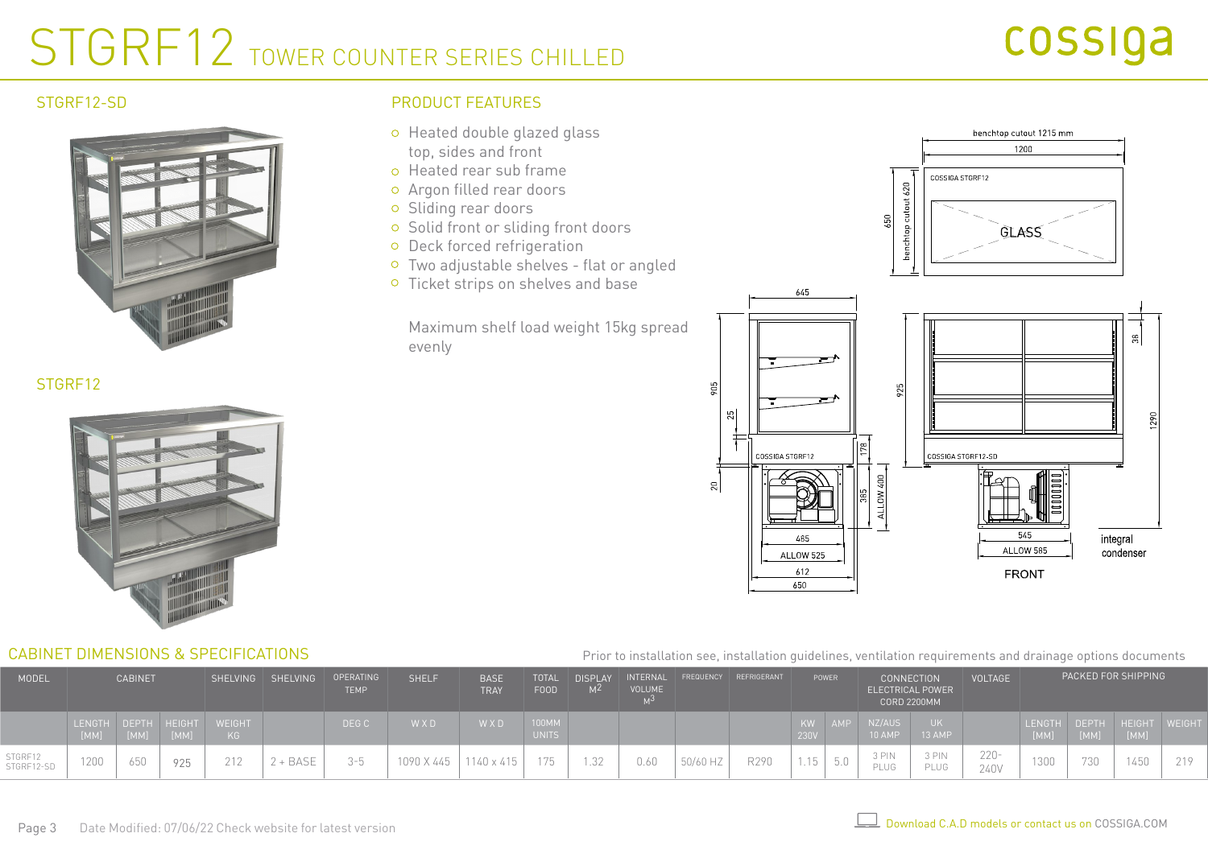# STGRF12 TOWER COUNTER SERIES CHILLED

### STGRE12-SD



## PRODUCT FEATURES

- o Heated double glazed glass top, sides and front
- o Heated rear sub frame
- Argon filled rear doors
- o Sliding rear doors
- o Solid front or sliding front doors
- o Deck forced refrigeration
- Two adjustable shelves flat or angled
- <sup>o</sup> Ticket strips on shelves and base

Maximum shelf load weight 15kg spread evenly



## STGRF<sub>12</sub>



### CABINET DIMENSIONS & SPECIFICATIONS

#### Prior to installation see, installation guidelines, ventilation requirements and drainage options documents

| <b>MODEL</b>          | <b>CABINET</b>              |      |      |                     | SHELVING SHELVING | <b>SHELF</b><br>FREQUENCY REFRIGERANT<br><b>BASE</b><br>INTERNAL<br>OPERATING<br><b>DISPLAY</b><br><b>TOTAL</b><br>VOLUME<br><b>FOOD</b><br>M <sup>2</sup><br><b>TEMP</b><br><b>TRAY</b> |            |            | POWER                 | <b>CONNECTION</b> | <b>ELECTRICAL POWER</b><br><b>CORD 2200MM</b> | <b>VOLTAGE</b> |      |            | PACKED FOR SHIPPING |                  |               |                 |                       |      |                             |     |
|-----------------------|-----------------------------|------|------|---------------------|-------------------|------------------------------------------------------------------------------------------------------------------------------------------------------------------------------------------|------------|------------|-----------------------|-------------------|-----------------------------------------------|----------------|------|------------|---------------------|------------------|---------------|-----------------|-----------------------|------|-----------------------------|-----|
|                       | LENGTH DEPTH HEIGHT<br>[MM] | [MM] | [MM] | <b>WEIGHT</b><br>KG |                   | DEG C                                                                                                                                                                                    | W X D      | W X D      | 100MM<br><b>UNITS</b> |                   |                                               |                |      | KW<br>230V | AMP                 | NZ/AUS<br>10 AMP | 13 AMP        |                 | <b>LENGTH</b><br>[MM] | [MM] | DEPTH HEIGHT WEIGHT<br>[MM] |     |
| STGRF12<br>STGRF12-SD | 1200                        | 650  | 925  | 212                 | + BASE            | $3 - 5$                                                                                                                                                                                  | 1090 X 445 | 1140 x 415 | 175                   | .32               | 0.60                                          | 50/60 HZ       | R290 | 1.15       | 5.0                 | 3 PIN<br>PLUG    | 3 PIN<br>PLUG | $220 -$<br>240V | 1300                  | 730  | 1450                        | 219 |